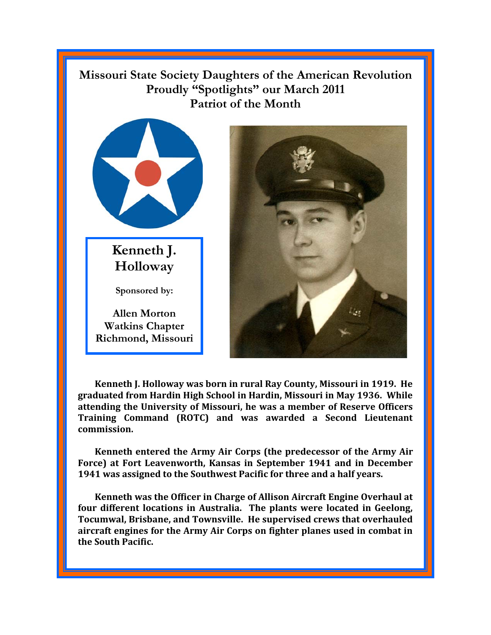## **Missouri State Society Daughters of the American Revolution Proudly "Spotlights" our March 2011 Patriot of the Month**



**Kenneth J. Holloway** 

**Sponsored by:** 

**Allen Morton Watkins Chapter Richmond, Missouri** 



**Kenneth J. Holloway was born in rural Ray County, Missouri in 1919. He graduated from Hardin High School in Hardin, Missouri in May 1936. While attending the University of Missouri, he was a member of Reserve Officers Training Command (ROTC) and was awarded a Second Lieutenant commission.** 

**Kenneth entered the Army Air Corps (the predecessor of the Army Air Force) at Fort Leavenworth, Kansas in September 1941 and in December 1941 was assigned to the Southwest Pacific for three and a half years.** 

**Kenneth was the Officer in Charge of Allison Aircraft Engine Overhaul at four different locations in Australia. The plants were located in Geelong, Tocumwal, Brisbane, and Townsville. He supervised crews that overhauled aircraft engines for the Army Air Corps on fighter planes used in combat in the South Pacific.**